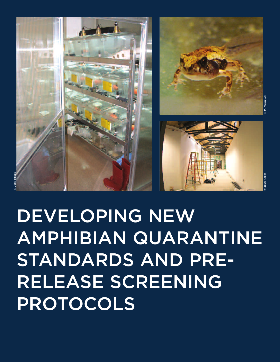

**DEVELOPING NEW AMPHIBIAN QUARANTINE STANDARDS AND PRE-RELEASE SCREENING PROTOCOLS**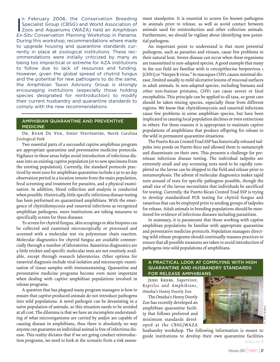In February 2006, the Conservation Breeding<br>Specialist Group (CBSG) and World Association of<br>Zoos and Aquariums (WAZA) held an Amphibian n February 2006, the Conservation Breeding Specialist Group (CBSG) and World Association of *Ex-Situ* Conservation Planning Workshop in Panama. During this workshop, recommendations where made to upgrade housing and quarantine standards currently in place at zoological institutions. These recommendations were initially criticized by many as being too impractical or extreme for AZA institutions to follow due to lack of resources and funding. However, given the global spread of chytrid fungus and the potential for new pathogens to do the same, the Amphibian Taxon Advisory Group is strongly encouraging institutions (especially those holding species designated for reintroduction) to modify their current husbandry and quarantine standards to comply with the new recommendations.

## **AMPHIBIAN QUARANTINE AND PREVENTIVE MEDICINE**

**Dr. Ryan De Voe,** *Senior Veterinarian***,** North Carolina Zoological Park

Two essential parts of a successful captive amphibian program are appropriate quarantine and preventative medicine protocols. Vigilance in these areas helps avoid introduction of infectious disease into an existing captive population (or to new specimens from the existing population). Currently, the standard protocols practiced by most zoos for amphibian quarantine include a 30 to 90 day observation period in a location remote from the main population, fecal screening and treatment for parasites, and a physical examination. In addition, blood collection and analysis is conducted when possible. Historically, little specific infectious disease testing has been performed on quarantined amphibians. With the emergence of chytridiomycosis and ranaviral infections as recognized amphibian pathogens, more institutions are taking measures to specifically screen for these diseases.

To screen for chytrid fungus, skin scrapings or skin biopsies can be collected and examined microscopically or processed and screened with a molecular test via polymerase chain reaction. Molecular diagnostics for chytrid fungus are available commercially through a number of laboratories. Ranavirus diagnostics are a little trickier and specific molecular tests are not routinely available, except through research laboratories. Other options for ranaviral diagnosis include viral isolation and microscopic examination of tissue samples with immunostaining. Quarantine and preventative medicine programs become even more important when dealing with captive amphibian populations involved in release programs.

A question that has plagued many program managers is how to ensure that captive produced animals do not introduce pathogens into wild populations. A novel pathogen can be devastating in a naïve population of animals, so this situation needs to be avoided at all cost. The dilemma is that we have an incomplete understanding of what microorganisms are carried by and/or are capable of causing disease in amphibians, thus there is absolutely no way anyone can guarantee an individual animal is free of infectious disease. This reality dictates that if we are going conduct reintroduction programs, we need to look at the scenario from a risk assessment standpoint. It is essential to screen for known pathogens in animals prior to release, as well as avoid contact between animals used for reintroduction and other collection animals. Furthermore, we should be vigilant about identifying new potential pathogens.

An important point to understand is that most potential pathogens, such as parasites and viruses, cause few problems in their natural host. Severe disease can occur when these organisms are transmitted to non-adapted species. A good example that many in the zoo field are familiar with is cercopithecine herpesvirus 1 (CHV1) or "Herpes B virus." In macaques CHV1 causes minimal disease, limited usually to mild ulcerative lesions of mucosal surfaces in adult animals. In non-adapted species, including humans and other non-human primates, CHV1 can cause severe or fatal encephalitis. This principle can be applied to all taxa, so great care should be taken mixing species, especially those from different regions. We know that chytridiomycosis and ranaviral infections cause few problems in some amphibian species, but have been implicated in causing local population declines or even extinctions in others. For these reasons it is appropriate to maintain captive populations of amphibians that produce offspring for release to the wild in permanent quarantine situations.

The Puerto Rican Crested Toad SSP has historically released tadpoles into ponds on Puerto Rico and allowed them to metamorph and disseminate on their own. This presents a challenge for prerelease infectious disease testing. The individual tadpoles are extremely small and any screening tests need to be rapidly completed so the larvae can be shipped to the field and release prior to metamorphosis. The advent of molecular diagnostics makes rapid turn around of tests for specific pathogens possible, though the small size of the larvae necessitates that individuals be sacrificed for testing. Currently, the Puerto Rican Crested Toad SSP is trying to develop standardized PCR testing for chytrid fungus and ranavirus that can be employed prior to sending groups of tadpoles for release. Adult animals in breeding populations should be monitored for evidence of infectious diseases including parasitism.

In summary, it is paramount that those working with captive amphibian populations be familiar with appropriate quarantine and preventative medicine protocols. Population managers directing wild release programs should continually reassess practices to ensure that all possible measures are taken to avoid introduction of pathogens into wild populations of amphibians.

## **A PRACTICAL LOOK AT COMPLYING WITH HIGH QUARANTINE AND HUSBANDRY STANDARDS FOR RELEASE AMPHIBIANS**

**Jessi Krebs,** *Supervisor, Reptiles and Amphibians,* Omaha's Henry Doorly Zoo

The Omaha's Henry Doorly Zoo has recently developed an amphibian quarantine facility that follows preferred and minimum standards developed at the CBSG/WAZA



husbandry workshop. The following information is meant to guide institutions to develop their own quarantine facilities CONTINUED, PAGE 28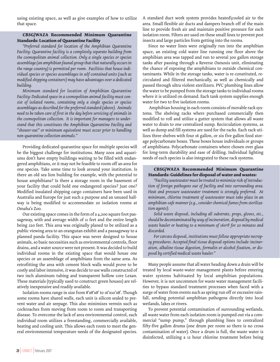using existing space, as well as give examples of how to utilize that space.

## **CBSG/WAZA Recommended Minimum Quarantine Standards: Location of Quarantine Facility**

*"Preferred standard for location of the Amphibian Quarantine Facility: Quarantine facility is a completely separate building from the cosmopolitan animal collection. Only a single species or species assemblage (an amphibian faunal group that that naturally occurs in the range country) is permitted per room. Facilities that house individual species or species assemblages in self-contained units (such as modified shipping containers) may have advantages over a dedicated building.* 

*Minimum standard for location of Amphibian Quarantine Facility: Dedicated space in a cosmopolitan animal facility must consist of isolated rooms, containing only a single species or species assemblages as described for the preferred standard (above). Animals need to be taken care of first in the day before servicing of animals in the cosmopolitan collection. It is important for managers to understand that this constitutes the Amphibian Quarantine Facility and "shower-out" or minimum equivalent must occur prior to handling non-quarantine collection animals."* 

Providing dedicated quarantine space for multiple species will be the biggest challenge for institutions. Many zoos and aquariums don't have empty buildings waiting to be filled with endangered amphibians, or it may not be feasible to room off an area for one species. Take some time to look around your institution. Is there an old sea lion building for example, with the potential to house amphibians? Is there a storage room in the basement of your facility that could hold one endangered species? Just one? Modified insulated shipping cargo containers have been used in Australia and Europe for just such a purpose and an unused hallway is being modified to accommodate 20 isolation rooms at Omaha's Zoo.

Our existing space comes in the form of a 4,200 square foot passageway, with and average width of 11 feet and the entire length being 220 feet. This area was originally planed to be utilized as a public viewing area to an orangutan exhibit and a passageway to a planned panda facility. This space was never designed to house animals, so basic necessities such as environmental controls, floor drains, and a water source were not present. It was decided to build individual rooms in the existing space that would house one species or an assemblage of amphibians from the same area. As retrofitting the area with cement block walls would prove to be costly and labor intensive, it was decide to use walls constructed of two inch aluminum tubing and transparent hollow core Lexan. These materials (typically used to construct green houses) are relatively inexpensive and readily available.

Isolation rooms range in size from 8'x8'x8' to 16'x10'x8'. Though some rooms have shared walls, each unit is silicon sealed to prevent water and air seepage. This also minimizes vermin such as cockroaches from moving from room to room and transporting disease. To overcome the lack of area environmental control, each individual room utilizes a freestanding, commercially available, heating and cooling unit. This allows each room to meet the general environmental temperature needs of the designated species.

A standard duct work system provides heated\cooled air to the area. Small flexible air ducts and dampers branch off of the main line to provide fresh air and maintain positive pressure for each isolation room. Filters are used on these small lines to prevent pest insects and large particles from getting into the rooms.

Since no water lines were originally run into the amphibian space, an existing cold water line running one floor above the amphibian area was tapped and run to several 300 gallon storage tanks after passing through a Reverse Osmosis unit, eliminating the chance of exposing the amphibians to outside chemical contaminants. While in the storage tanks, water is re-constituted, recirculated and filtered mechanically, as well as chemically and passed through ultra violent sterilizers. PVC plumbing lines allow the water to be pumped from the storage tanks to individual rooms where it is utilized on demand. Each tank system supplies enough water for two to five isolation rooms.

Amphibian housing in each room consists of movable rack systems. The shelving racks where purchased commercially then modified to roll and utilize a gutter system that allows all waste water to drain to one centralized sump. Recirculation systems, as well as dump and fill systems are used for the racks. Each rack utilizes three shelves with four 16 gallon, or six five gallon food storage polycarbonate boxes. These boxes house individuals or groups of amphibians. Polycarbonate containers where chosen over glass for long-term durability and ease of drilling. Individual lighting needs of each species is also integrated to these rack systems.

## **CBSG/WAZA Recommended Minimum Quarantine Standards: Guidelines for disposal of water and wastes:**

*"Facility wastewater must be treated to minimize risk of introduction of foreign pathogens out of facility and into surrounding area. Heat and pressure wastewater treatment is strongly preferred. At minimum, chlorine treatment of wastewater must take place in an amphibian-safe manner (e.g., consider chemical fumes from sterilization agents).*

*Solid waste disposal, including all substrate, props, gloves, etc., should be decontaminated by way of incineration, disposal by medical waste hauler or heating to a minimum of 160ºF for 20 minutes and discarded.*

*For carcass disposal, institutions must follow appropriate necropsy procedures. Accepted final tissue disposal options include: incineration, alkaline tissue digestion, formalin or alcohol fixation, or disposal by certified medical waste hauler."* 

Many people assume that all water heading down a drain will be treated by local waste-water management plants before entering water systems habituated by local amphibian populations. However, it is not uncommon for waste water management facilities to bypass standard treatment processes when faced with a surge of water from events such as spring run off or excessive rainfall, sending potential amphibian pathogens directly into local wetlands, lakes or rivers.

To prevent potential contamination of surrounding wetlands, all waste water from each isolation room is pumped out via a commercial "sump pump," through plumbing lines to centralized fifty-five gallon drums (one drum per room so there is no cross contamination of water). Once a drum is full, the waste water is disinfected, utilizing a 12 hour chlorine treatment before being